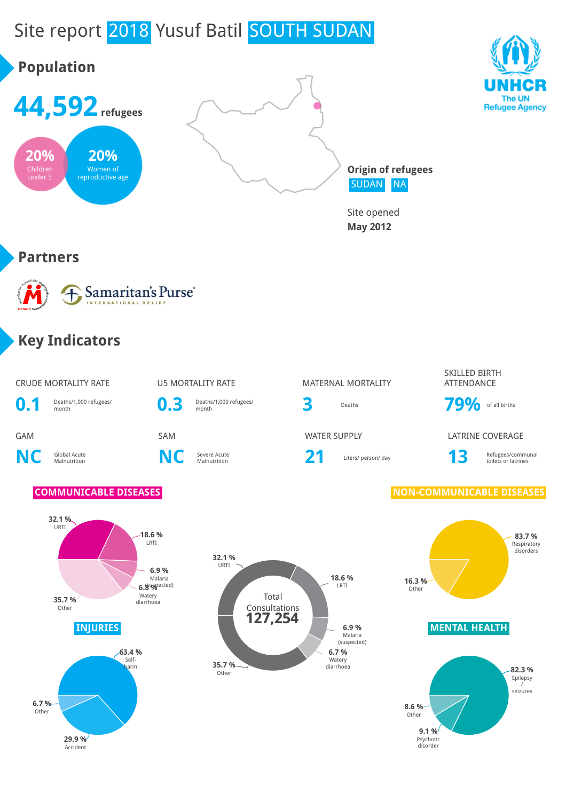# Site report 2018 Yusuf Batil SOUTH SUDAN

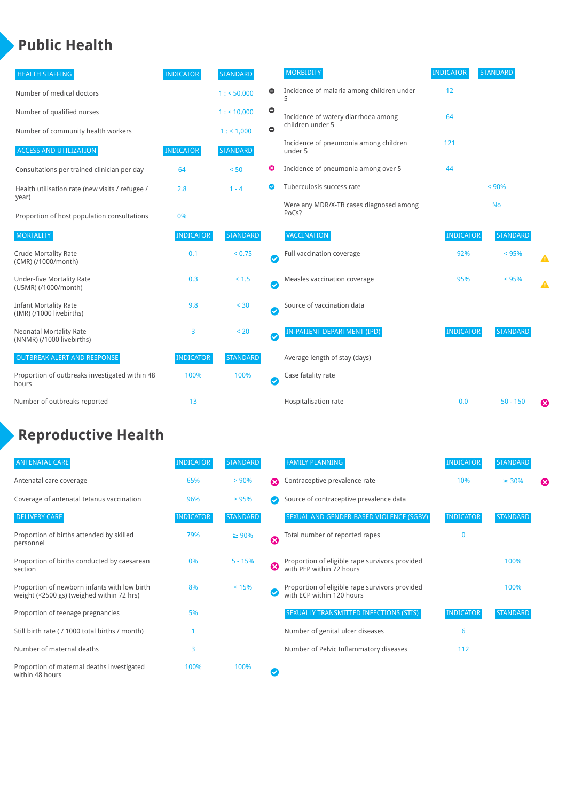### **Public Health**

| <b>HEALTH STAFFING</b>                                      | <b>INDICATOR</b> | <b>STANDARD</b> |                       | <b>MORBIDITY</b>                                 | <b>INDICATOR</b> | <b>STANDARD</b> |   |
|-------------------------------------------------------------|------------------|-----------------|-----------------------|--------------------------------------------------|------------------|-----------------|---|
| Number of medical doctors                                   |                  | 1: 50,000       | $\bullet$             | Incidence of malaria among children under<br>5   | 12               |                 |   |
| Number of qualified nurses                                  |                  | $1:$ < 10,000   | $\bullet$             | Incidence of watery diarrhoea among              | 64               |                 |   |
| Number of community health workers                          |                  | 1:1,000         | $\bullet$             | children under 5                                 |                  |                 |   |
| <b>ACCESS AND UTILIZATION</b>                               | <b>INDICATOR</b> | <b>STANDARD</b> |                       | Incidence of pneumonia among children<br>under 5 | 121              |                 |   |
| Consultations per trained clinician per day                 | 64               | < 50            | ☺                     | Incidence of pneumonia among over 5              | 44               |                 |   |
| Health utilisation rate (new visits / refugee /             | 2.8              | $1 - 4$         | ◙                     | Tuberculosis success rate                        |                  | $< 90\%$        |   |
| year)<br>Proportion of host population consultations        | 0%               |                 |                       | Were any MDR/X-TB cases diagnosed among<br>PoCs? |                  | <b>No</b>       |   |
| <b>MORTALITY</b>                                            | <b>INDICATOR</b> | <b>STANDARD</b> |                       | <b>VACCINATION</b>                               | <b>INDICATOR</b> | <b>STANDARD</b> |   |
| <b>Crude Mortality Rate</b><br>(CMR) (/1000/month)          | 0.1              | < 0.75          | Ø                     | Full vaccination coverage                        | 92%              | < 95%           |   |
| <b>Under-five Mortality Rate</b><br>(U5MR) (/1000/month)    | 0.3              | $< 1.5$         | Ø                     | Measles vaccination coverage                     | 95%              | < 95%           | Δ |
| <b>Infant Mortality Rate</b><br>(IMR) (/1000 livebirths)    | 9.8              | $30$            | Ø                     | Source of vaccination data                       |                  |                 |   |
| <b>Neonatal Mortality Rate</b><br>(NNMR) (/1000 livebirths) | 3                | < 20            | Ø                     | IN-PATIENT DEPARTMENT (IPD)                      | <b>INDICATOR</b> | <b>STANDARD</b> |   |
| <b>OUTBREAK ALERT AND RESPONSE</b>                          | <b>INDICATOR</b> | <b>STANDARD</b> |                       | Average length of stay (days)                    |                  |                 |   |
| Proportion of outbreaks investigated within 48<br>hours     | 100%             | 100%            | $\boldsymbol{\sigma}$ | Case fatality rate                               |                  |                 |   |
| Number of outbreaks reported                                | 13               |                 |                       | Hospitalisation rate                             | 0.0              | $50 - 150$      | ೞ |

## **Reproductive Health**

| <b>ANTENATAL CARE</b>                                                                     | <b>INDICATOR</b> | <b>STANDARD</b> |   | <b>FAMILY PLANNING</b>                                                      | <b>INDICATOR</b> | <b>STANDARD</b> |   |
|-------------------------------------------------------------------------------------------|------------------|-----------------|---|-----------------------------------------------------------------------------|------------------|-----------------|---|
| Antenatal care coverage                                                                   | 65%              | > 90%           | Ω | Contraceptive prevalence rate                                               | 10%              | $\geq 30\%$     | ⊠ |
| Coverage of antenatal tetanus vaccination                                                 | 96%              | > 95%           |   | Source of contraceptive prevalence data                                     |                  |                 |   |
| <b>DELIVERY CARE</b>                                                                      | <b>INDICATOR</b> | <b>STANDARD</b> |   | SEXUAL AND GENDER-BASED VIOLENCE (SGBV)                                     | <b>INDICATOR</b> | <b>STANDARD</b> |   |
| Proportion of births attended by skilled<br>personnel                                     | 79%              | $\geq 90\%$     | Ø | Total number of reported rapes                                              | 0                |                 |   |
| Proportion of births conducted by caesarean<br>section                                    | 0%               | $5 - 15%$       | ☺ | Proportion of eligible rape survivors provided<br>with PEP within 72 hours  |                  | 100%            |   |
| Proportion of newborn infants with low birth<br>weight (<2500 gs) (weighed within 72 hrs) | 8%               | < 15%           |   | Proportion of eligible rape survivors provided<br>with ECP within 120 hours |                  | 100%            |   |
| Proportion of teenage pregnancies                                                         | 5%               |                 |   | SEXUALLY TRANSMITTED INFECTIONS (STIS)                                      | <b>INDICATOR</b> | <b>STANDARD</b> |   |
| Still birth rate (/1000 total births / month)                                             |                  |                 |   | Number of genital ulcer diseases                                            | 6                |                 |   |
| Number of maternal deaths                                                                 | 3                |                 |   | Number of Pelvic Inflammatory diseases                                      | 112              |                 |   |
| Proportion of maternal deaths investigated<br>within 48 hours                             | 100%             | 100%            |   |                                                                             |                  |                 |   |